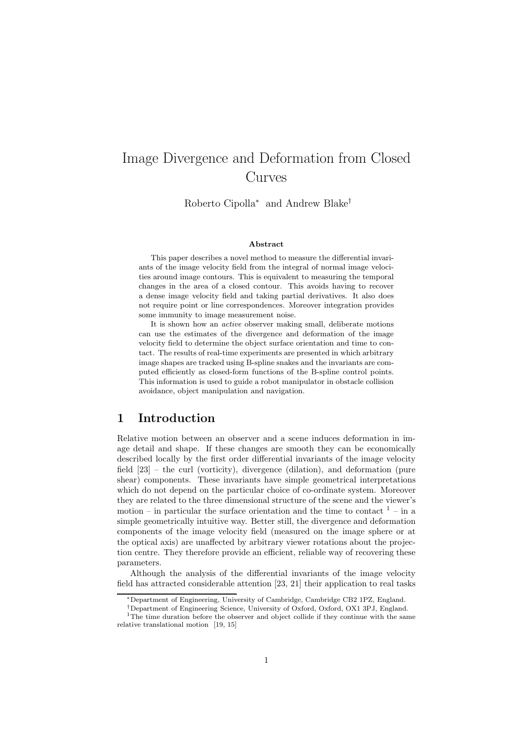# Image Divergence and Deformation from Closed Curves

Roberto Cipolla<sup>∗</sup> and Andrew Blake†

#### Abstract

This paper describes a novel method to measure the differential invariants of the image velocity field from the integral of normal image velocities around image contours. This is equivalent to measuring the temporal changes in the area of a closed contour. This avoids having to recover a dense image velocity field and taking partial derivatives. It also does not require point or line correspondences. Moreover integration provides some immunity to image measurement noise.

It is shown how an active observer making small, deliberate motions can use the estimates of the divergence and deformation of the image velocity field to determine the object surface orientation and time to contact. The results of real-time experiments are presented in which arbitrary image shapes are tracked using B-spline snakes and the invariants are computed efficiently as closed-form functions of the B-spline control points. This information is used to guide a robot manipulator in obstacle collision avoidance, object manipulation and navigation.

### 1 Introduction

Relative motion between an observer and a scene induces deformation in image detail and shape. If these changes are smooth they can be economically described locally by the first order differential invariants of the image velocity field [23] – the curl (vorticity), divergence (dilation), and deformation (pure shear) components. These invariants have simple geometrical interpretations which do not depend on the particular choice of co-ordinate system. Moreover they are related to the three dimensional structure of the scene and the viewer's motion – in particular the surface orientation and the time to contact  $1$  – in a simple geometrically intuitive way. Better still, the divergence and deformation components of the image velocity field (measured on the image sphere or at the optical axis) are unaffected by arbitrary viewer rotations about the projection centre. They therefore provide an efficient, reliable way of recovering these parameters.

Although the analysis of the differential invariants of the image velocity field has attracted considerable attention [23, 21] their application to real tasks

<sup>∗</sup>Department of Engineering, University of Cambridge, Cambridge CB2 1PZ, England.

<sup>&</sup>lt;sup>†</sup>Department of Engineering Science, University of Oxford, Oxford, OX1 3PJ, England. <sup>1</sup>The time duration before the observer and object collide if they continue with the same

relative translational motion [19, 15]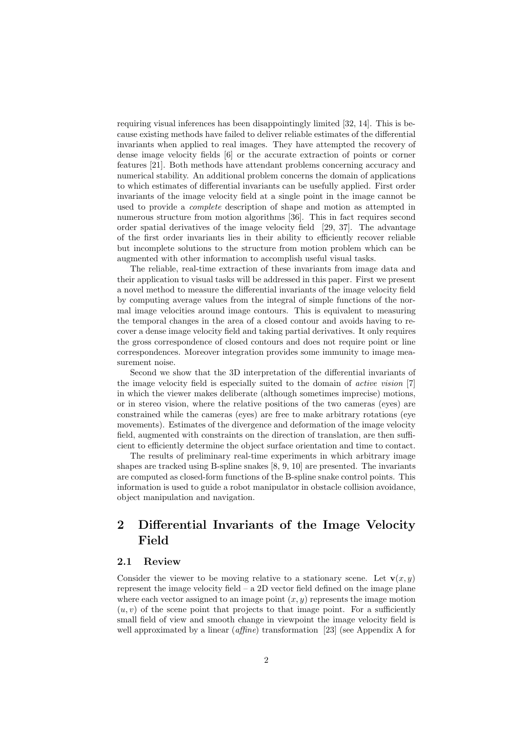requiring visual inferences has been disappointingly limited [32, 14]. This is because existing methods have failed to deliver reliable estimates of the differential invariants when applied to real images. They have attempted the recovery of dense image velocity fields [6] or the accurate extraction of points or corner features [21]. Both methods have attendant problems concerning accuracy and numerical stability. An additional problem concerns the domain of applications to which estimates of differential invariants can be usefully applied. First order invariants of the image velocity field at a single point in the image cannot be used to provide a complete description of shape and motion as attempted in numerous structure from motion algorithms [36]. This in fact requires second order spatial derivatives of the image velocity field [29, 37]. The advantage of the first order invariants lies in their ability to efficiently recover reliable but incomplete solutions to the structure from motion problem which can be augmented with other information to accomplish useful visual tasks.

The reliable, real-time extraction of these invariants from image data and their application to visual tasks will be addressed in this paper. First we present a novel method to measure the differential invariants of the image velocity field by computing average values from the integral of simple functions of the normal image velocities around image contours. This is equivalent to measuring the temporal changes in the area of a closed contour and avoids having to recover a dense image velocity field and taking partial derivatives. It only requires the gross correspondence of closed contours and does not require point or line correspondences. Moreover integration provides some immunity to image measurement noise.

Second we show that the 3D interpretation of the differential invariants of the image velocity field is especially suited to the domain of active vision [7] in which the viewer makes deliberate (although sometimes imprecise) motions, or in stereo vision, where the relative positions of the two cameras (eyes) are constrained while the cameras (eyes) are free to make arbitrary rotations (eye movements). Estimates of the divergence and deformation of the image velocity field, augmented with constraints on the direction of translation, are then sufficient to efficiently determine the object surface orientation and time to contact.

The results of preliminary real-time experiments in which arbitrary image shapes are tracked using B-spline snakes [8, 9, 10] are presented. The invariants are computed as closed-form functions of the B-spline snake control points. This information is used to guide a robot manipulator in obstacle collision avoidance, object manipulation and navigation.

## 2 Differential Invariants of the Image Velocity Field

#### 2.1 Review

Consider the viewer to be moving relative to a stationary scene. Let  $\mathbf{v}(x, y)$ represent the image velocity field  $-$  a 2D vector field defined on the image plane where each vector assigned to an image point  $(x, y)$  represents the image motion  $(u, v)$  of the scene point that projects to that image point. For a sufficiently small field of view and smooth change in viewpoint the image velocity field is well approximated by a linear  $\left( \text{affine} \right)$  transformation [23] (see Appendix A for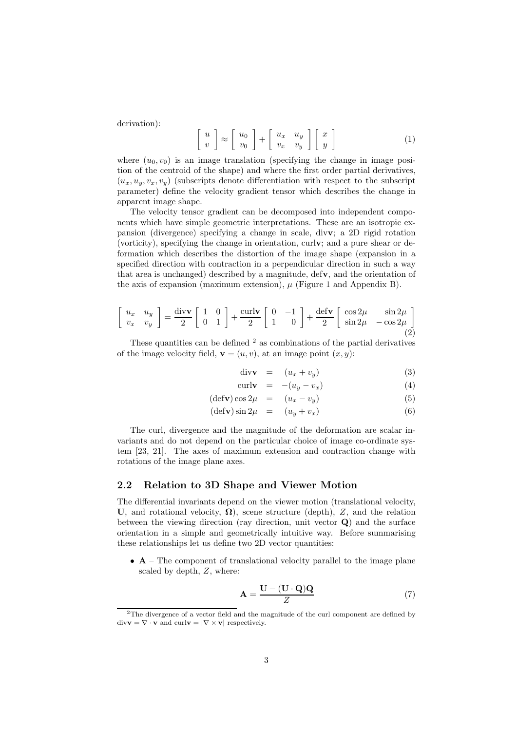derivation):

$$
\left[\begin{array}{c}u\\v\end{array}\right]\approx\left[\begin{array}{c}u_0\\v_0\end{array}\right]+\left[\begin{array}{cc}u_x&u_y\\v_x&v_y\end{array}\right]\left[\begin{array}{c}x\\y\end{array}\right]
$$
(1)

where  $(u_0, v_0)$  is an image translation (specifying the change in image position of the centroid of the shape) and where the first order partial derivatives,  $(u_x, u_y, v_x, v_y)$  (subscripts denote differentiation with respect to the subscript parameter) define the velocity gradient tensor which describes the change in apparent image shape.

The velocity tensor gradient can be decomposed into independent components which have simple geometric interpretations. These are an isotropic expansion (divergence) specifying a change in scale, divv; a 2D rigid rotation (vorticity), specifying the change in orientation, curlv; and a pure shear or deformation which describes the distortion of the image shape (expansion in a specified direction with contraction in a perpendicular direction in such a way that area is unchanged) described by a magnitude, defv, and the orientation of the axis of expansion (maximum extension),  $\mu$  (Figure 1 and Appendix B).

$$
\begin{bmatrix} u_x & u_y \\ v_x & v_y \end{bmatrix} = \frac{\text{div}\mathbf{v}}{2} \begin{bmatrix} 1 & 0 \\ 0 & 1 \end{bmatrix} + \frac{\text{curl}\mathbf{v}}{2} \begin{bmatrix} 0 & -1 \\ 1 & 0 \end{bmatrix} + \frac{\text{det}\mathbf{v}}{2} \begin{bmatrix} \cos 2\mu & \sin 2\mu \\ \sin 2\mu & -\cos 2\mu \end{bmatrix}
$$
(2)

These quantities can be defined  $2$  as combinations of the partial derivatives of the image velocity field,  $\mathbf{v} = (u, v)$ , at an image point  $(x, y)$ :

$$
\text{div}\mathbf{v} = (u_x + v_y) \tag{3}
$$

$$
\text{curl}\mathbf{v} = -(u_y - v_x) \tag{4}
$$

$$
(\text{def}\mathbf{v})\cos 2\mu = (u_x - v_y) \tag{5}
$$

$$
(\text{def}\mathbf{v})\sin 2\mu = (u_y + v_x) \tag{6}
$$

The curl, divergence and the magnitude of the deformation are scalar invariants and do not depend on the particular choice of image co-ordinate system [23, 21]. The axes of maximum extension and contraction change with rotations of the image plane axes.

#### 2.2 Relation to 3D Shape and Viewer Motion

The differential invariants depend on the viewer motion (translational velocity, U, and rotational velocity,  $\Omega$ ), scene structure (depth), Z, and the relation between the viewing direction (ray direction, unit vector  $\bf{Q}$ ) and the surface orientation in a simple and geometrically intuitive way. Before summarising these relationships let us define two 2D vector quantities:

 $\bullet$  **A** – The component of translational velocity parallel to the image plane scaled by depth, Z, where:

$$
\mathbf{A} = \frac{\mathbf{U} - (\mathbf{U} \cdot \mathbf{Q})\mathbf{Q}}{Z} \tag{7}
$$

<sup>&</sup>lt;sup>2</sup>The divergence of a vector field and the magnitude of the curl component are defined by  $div\mathbf{v} = \nabla \cdot \mathbf{v}$  and  $curl\mathbf{v} = |\nabla \times \mathbf{v}|$  respectively.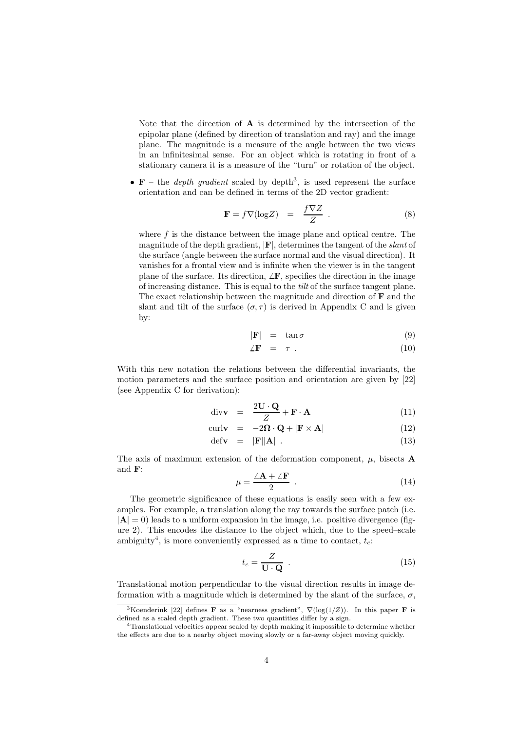Note that the direction of A is determined by the intersection of the epipolar plane (defined by direction of translation and ray) and the image plane. The magnitude is a measure of the angle between the two views in an infinitesimal sense. For an object which is rotating in front of a stationary camera it is a measure of the "turn" or rotation of the object.

•  $\mathbf{F}$  – the *depth gradient* scaled by depth<sup>3</sup>, is used represent the surface orientation and can be defined in terms of the 2D vector gradient:

$$
\mathbf{F} = f \nabla(\log Z) = \frac{f \nabla Z}{Z} . \tag{8}
$$

where  $f$  is the distance between the image plane and optical centre. The magnitude of the depth gradient,  $|\mathbf{F}|$ , determines the tangent of the *slant* of the surface (angle between the surface normal and the visual direction). It vanishes for a frontal view and is infinite when the viewer is in the tangent plane of the surface. Its direction,  $\angle \mathbf{F}$ , specifies the direction in the image of increasing distance. This is equal to the tilt of the surface tangent plane. The exact relationship between the magnitude and direction of F and the slant and tilt of the surface  $(\sigma, \tau)$  is derived in Appendix C and is given by:

$$
|\mathbf{F}| = \tan \sigma \tag{9}
$$

$$
\angle \mathbf{F} = \tau . \tag{10}
$$

With this new notation the relations between the differential invariants, the motion parameters and the surface position and orientation are given by [22] (see Appendix C for derivation):

$$
\text{div}\mathbf{v} = \frac{2\mathbf{U} \cdot \mathbf{Q}}{Z} + \mathbf{F} \cdot \mathbf{A}
$$
 (11)

$$
\text{curl} \mathbf{v} = -2\mathbf{\Omega} \cdot \mathbf{Q} + |\mathbf{F} \times \mathbf{A}| \tag{12}
$$

$$
\text{def}\mathbf{v} = |\mathbf{F}||\mathbf{A}| \tag{13}
$$

The axis of maximum extension of the deformation component,  $\mu$ , bisects **A** and F:

$$
\mu = \frac{\angle \mathbf{A} + \angle \mathbf{F}}{2} \tag{14}
$$

The geometric significance of these equations is easily seen with a few examples. For example, a translation along the ray towards the surface patch (i.e.  $|{\bf A}| = 0$ ) leads to a uniform expansion in the image, i.e. positive divergence (figure 2). This encodes the distance to the object which, due to the speed–scale ambiguity<sup>4</sup>, is more conveniently expressed as a time to contact,  $t_c$ :

$$
t_c = \frac{Z}{\mathbf{U} \cdot \mathbf{Q}} \tag{15}
$$

Translational motion perpendicular to the visual direction results in image deformation with a magnitude which is determined by the slant of the surface,  $\sigma$ ,

<sup>&</sup>lt;sup>3</sup>Koenderink [22] defines **F** as a "nearness gradient",  $\nabla(\log(1/Z))$ . In this paper **F** is defined as a scaled depth gradient. These two quantities differ by a sign. <sup>4</sup>Translational velocities appear scaled by depth making it impossible to determine whether

the effects are due to a nearby object moving slowly or a far-away object moving quickly.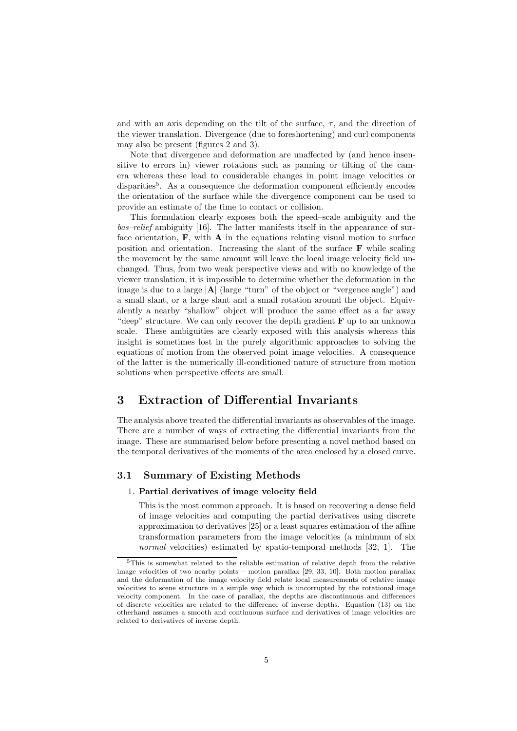and with an axis depending on the tilt of the surface,  $\tau$ , and the direction of the viewer translation. Divergence (due to foreshortening) and curl components may also be present (figures 2 and 3).

Note that divergence and deformation are unaffected by (and hence insensitive to errors in) viewer rotations such as panning or tilting of the camera whereas these lead to considerable changes in point image velocities or disparities<sup>5</sup>. As a consequence the deformation component efficiently encodes the orientation of the surface while the divergence component can be used to provide an estimate of the time to contact or collision.

This formulation clearly exposes both the speed–scale ambiguity and the bas–relief ambiguity [16]. The latter manifests itself in the appearance of surface orientation,  $\bf{F}$ , with  $\bf{A}$  in the equations relating visual motion to surface position and orientation. Increasing the slant of the surface  $\bf{F}$  while scaling the movement by the same amount will leave the local image velocity field unchanged. Thus, from two weak perspective views and with no knowledge of the viewer translation, it is impossible to determine whether the deformation in the image is due to a large  $|A|$  (large "turn" of the object or "vergence angle") and a small slant, or a large slant and a small rotation around the object. Equivalently a nearby "shallow" object will produce the same effect as a far away "deep" structure. We can only recover the depth gradient  $\bf{F}$  up to an unknown scale. These ambiguities are clearly exposed with this analysis whereas this insight is sometimes lost in the purely algorithmic approaches to solving the equations of motion from the observed point image velocities. A consequence of the latter is the numerically ill-conditioned nature of structure from motion solutions when perspective effects are small.

## 3 Extraction of Differential Invariants

The analysis above treated the differential invariants as observables of the image. There are a number of ways of extracting the differential invariants from the image. These are summarised below before presenting a novel method based on the temporal derivatives of the moments of the area enclosed by a closed curve.

### 3.1 Summary of Existing Methods

#### 1. Partial derivatives of image velocity field

This is the most common approach. It is based on recovering a dense field of image velocities and computing the partial derivatives using discrete approximation to derivatives [25] or a least squares estimation of the affine transformation parameters from the image velocities (a minimum of six normal velocities) estimated by spatio-temporal methods [32, 1]. The

<sup>&</sup>lt;sup>5</sup>This is somewhat related to the reliable estimation of relative depth from the relative image velocities of two nearby points – motion parallax [29, 33, 10]. Both motion parallax and the deformation of the image velocity field relate local measurements of relative image velocities to scene structure in a simple way which is uncorrupted by the rotational image velocity component. In the case of parallax, the depths are discontinuous and differences of discrete velocities are related to the difference of inverse depths. Equation (13) on the otherhand assumes a smooth and continuous surface and derivatives of image velocities are related to derivatives of inverse depth.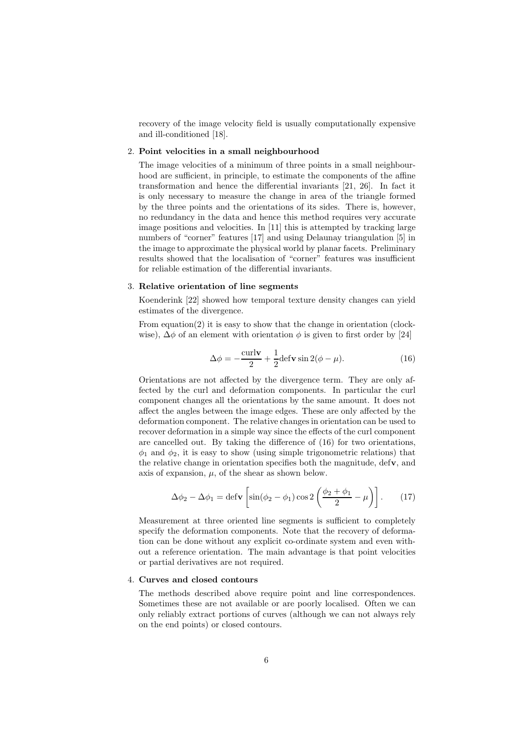recovery of the image velocity field is usually computationally expensive and ill-conditioned [18].

#### 2. Point velocities in a small neighbourhood

The image velocities of a minimum of three points in a small neighbourhood are sufficient, in principle, to estimate the components of the affine transformation and hence the differential invariants [21, 26]. In fact it is only necessary to measure the change in area of the triangle formed by the three points and the orientations of its sides. There is, however, no redundancy in the data and hence this method requires very accurate image positions and velocities. In [11] this is attempted by tracking large numbers of "corner" features [17] and using Delaunay triangulation [5] in the image to approximate the physical world by planar facets. Preliminary results showed that the localisation of "corner" features was insufficient for reliable estimation of the differential invariants.

#### 3. Relative orientation of line segments

Koenderink [22] showed how temporal texture density changes can yield estimates of the divergence.

From equation(2) it is easy to show that the change in orientation (clockwise),  $\Delta\phi$  of an element with orientation  $\phi$  is given to first order by [24]

$$
\Delta \phi = -\frac{\text{curl}\mathbf{v}}{2} + \frac{1}{2}\text{def}\mathbf{v}\sin 2(\phi - \mu). \tag{16}
$$

Orientations are not affected by the divergence term. They are only affected by the curl and deformation components. In particular the curl component changes all the orientations by the same amount. It does not affect the angles between the image edges. These are only affected by the deformation component. The relative changes in orientation can be used to recover deformation in a simple way since the effects of the curl component are cancelled out. By taking the difference of (16) for two orientations,  $\phi_1$  and  $\phi_2$ , it is easy to show (using simple trigonometric relations) that the relative change in orientation specifies both the magnitude, defv, and axis of expansion,  $\mu$ , of the shear as shown below.

$$
\Delta\phi_2 - \Delta\phi_1 = \text{def}\mathbf{v}\left[\sin(\phi_2 - \phi_1)\cos 2\left(\frac{\phi_2 + \phi_1}{2} - \mu\right)\right].\tag{17}
$$

Measurement at three oriented line segments is sufficient to completely specify the deformation components. Note that the recovery of deformation can be done without any explicit co-ordinate system and even without a reference orientation. The main advantage is that point velocities or partial derivatives are not required.

#### 4. Curves and closed contours

The methods described above require point and line correspondences. Sometimes these are not available or are poorly localised. Often we can only reliably extract portions of curves (although we can not always rely on the end points) or closed contours.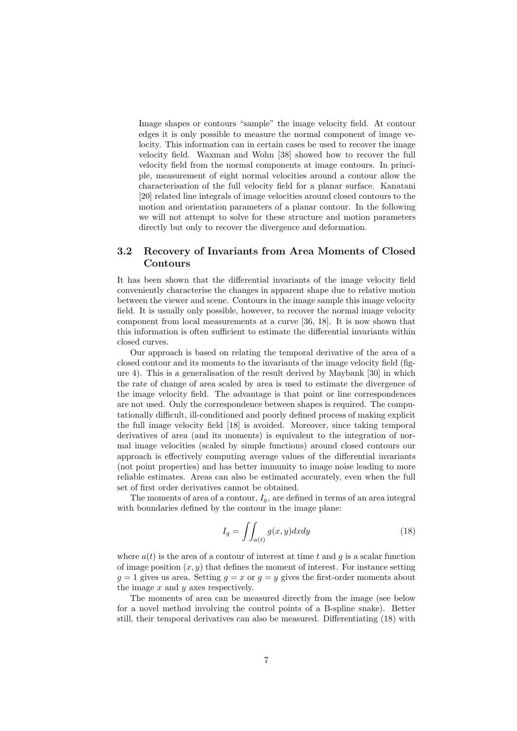Image shapes or contours "sample" the image velocity field. At contour edges it is only possible to measure the normal component of image velocity. This information can in certain cases be used to recover the image velocity field. Waxman and Wohn [38] showed how to recover the full velocity field from the normal components at image contours. In principle, measurement of eight normal velocities around a contour allow the characterisation of the full velocity field for a planar surface. Kanatani [20] related line integrals of image velocities around closed contours to the motion and orientation parameters of a planar contour. In the following we will not attempt to solve for these structure and motion parameters directly but only to recover the divergence and deformation.

### 3.2 Recovery of Invariants from Area Moments of Closed Contours

It has been shown that the differential invariants of the image velocity field conveniently characterise the changes in apparent shape due to relative motion between the viewer and scene. Contours in the image sample this image velocity field. It is usually only possible, however, to recover the normal image velocity component from local measurements at a curve [36, 18]. It is now shown that this information is often sufficient to estimate the differential invariants within closed curves.

Our approach is based on relating the temporal derivative of the area of a closed contour and its moments to the invariants of the image velocity field (figure 4). This is a generalisation of the result derived by Maybank [30] in which the rate of change of area scaled by area is used to estimate the divergence of the image velocity field. The advantage is that point or line correspondences are not used. Only the correspondence between shapes is required. The computationally difficult, ill-conditioned and poorly defined process of making explicit the full image velocity field [18] is avoided. Moreover, since taking temporal derivatives of area (and its moments) is equivalent to the integration of normal image velocities (scaled by simple functions) around closed contours our approach is effectively computing average values of the differential invariants (not point properties) and has better immunity to image noise leading to more reliable estimates. Areas can also be estimated accurately, even when the full set of first order derivatives cannot be obtained.

The moments of area of a contour,  $I<sub>g</sub>$ , are defined in terms of an area integral with boundaries defined by the contour in the image plane:

$$
I_g = \iint_{a(t)} g(x, y) dx dy
$$
 (18)

where  $a(t)$  is the area of a contour of interest at time t and q is a scalar function of image position  $(x, y)$  that defines the moment of interest. For instance setting  $q = 1$  gives us area. Setting  $q = x$  or  $q = y$  gives the first-order moments about the image  $x$  and  $y$  axes respectively.

The moments of area can be measured directly from the image (see below for a novel method involving the control points of a B-spline snake). Better still, their temporal derivatives can also be measured. Differentiating (18) with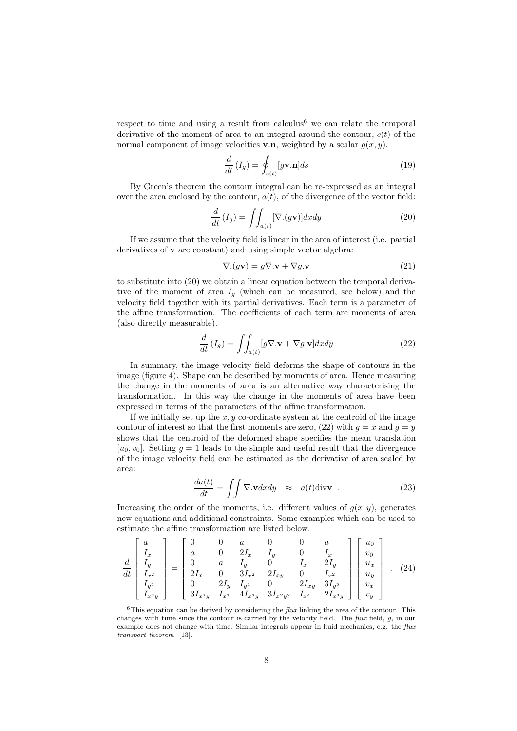respect to time and using a result from calculus<sup>6</sup> we can relate the temporal derivative of the moment of area to an integral around the contour,  $c(t)$  of the normal component of image velocities **v.n**, weighted by a scalar  $q(x, y)$ .

$$
\frac{d}{dt}\left(I_g\right) = \oint_{c(t)} [g\mathbf{v}.\mathbf{n}]ds\tag{19}
$$

By Green's theorem the contour integral can be re-expressed as an integral over the area enclosed by the contour,  $a(t)$ , of the divergence of the vector field:

$$
\frac{d}{dt}\left(I_g\right) = \iint_{a(t)} \left[\nabla \cdot (g\mathbf{v})\right] dx dy \tag{20}
$$

If we assume that the velocity field is linear in the area of interest (i.e. partial derivatives of v are constant) and using simple vector algebra:

$$
\nabla.(g\mathbf{v}) = g\nabla.\mathbf{v} + \nabla g.\mathbf{v}
$$
\n(21)

to substitute into (20) we obtain a linear equation between the temporal derivative of the moment of area  $I<sub>g</sub>$  (which can be measured, see below) and the velocity field together with its partial derivatives. Each term is a parameter of the affine transformation. The coefficients of each term are moments of area (also directly measurable).

$$
\frac{d}{dt}\left(I_g\right) = \iint_{a(t)} [g\nabla \cdot \mathbf{v} + \nabla g \cdot \mathbf{v}] dx dy
$$
\n(22)

In summary, the image velocity field deforms the shape of contours in the image (figure 4). Shape can be described by moments of area. Hence measuring the change in the moments of area is an alternative way characterising the transformation. In this way the change in the moments of area have been expressed in terms of the parameters of the affine transformation.

If we initially set up the  $x, y$  co-ordinate system at the centroid of the image contour of interest so that the first moments are zero, (22) with  $g = x$  and  $g = y$ shows that the centroid of the deformed shape specifies the mean translation [ $u_0, v_0$ ]. Setting  $q = 1$  leads to the simple and useful result that the divergence of the image velocity field can be estimated as the derivative of area scaled by area:

$$
\frac{da(t)}{dt} = \iint \nabla \cdot \mathbf{v} dx dy \quad \approx \quad a(t) \text{div}\mathbf{v} \quad . \tag{23}
$$

Increasing the order of the moments, i.e. different values of  $g(x, y)$ , generates new equations and additional constraints. Some examples which can be used to estimate the affine transformation are listed below.

$$
\frac{d}{dt} \begin{bmatrix} a \\ I_x \\ I_y \\ I_{x^2} \\ I_{y^2} \\ I_{x^3y} \end{bmatrix} = \begin{bmatrix} 0 & 0 & a & 0 & 0 & a \\ a & 0 & 2I_x & I_y & 0 & I_x \\ 0 & a & I_y & 0 & I_x & 2I_y \\ 2I_x & 0 & 3I_{x^2} & 2I_{xy} & 0 & I_{x^2} \\ 0 & 2I_y & I_{y^2} & 0 & 2I_{xy} & 3I_{y^2} \\ 3I_{x^2y} & I_{x^3} & 4I_{x^3y} & 3I_{x^2y^2} & I_{x^4} & 2I_{x^3y} \end{bmatrix} \begin{bmatrix} u_0 \\ v_0 \\ u_x \\ u_y \\ v_x \\ v_y \end{bmatrix} . (24)
$$

 $6$ This equation can be derived by considering the *flux* linking the area of the contour. This changes with time since the contour is carried by the velocity field. The flux field, g, in our example does not change with time. Similar integrals appear in fluid mechanics, e.g. the  $flux$ transport theorem [13].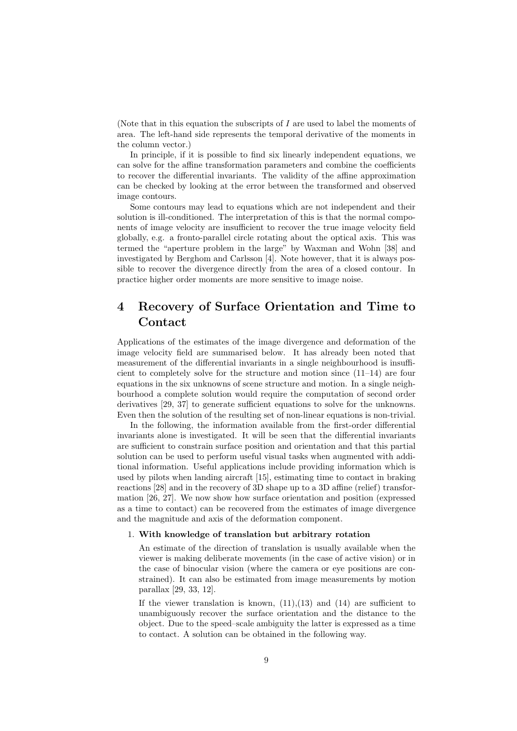(Note that in this equation the subscripts of I are used to label the moments of area. The left-hand side represents the temporal derivative of the moments in the column vector.)

In principle, if it is possible to find six linearly independent equations, we can solve for the affine transformation parameters and combine the coefficients to recover the differential invariants. The validity of the affine approximation can be checked by looking at the error between the transformed and observed image contours.

Some contours may lead to equations which are not independent and their solution is ill-conditioned. The interpretation of this is that the normal components of image velocity are insufficient to recover the true image velocity field globally, e.g. a fronto-parallel circle rotating about the optical axis. This was termed the "aperture problem in the large" by Waxman and Wohn [38] and investigated by Berghom and Carlsson [4]. Note however, that it is always possible to recover the divergence directly from the area of a closed contour. In practice higher order moments are more sensitive to image noise.

## 4 Recovery of Surface Orientation and Time to Contact

Applications of the estimates of the image divergence and deformation of the image velocity field are summarised below. It has already been noted that measurement of the differential invariants in a single neighbourhood is insufficient to completely solve for the structure and motion since (11–14) are four equations in the six unknowns of scene structure and motion. In a single neighbourhood a complete solution would require the computation of second order derivatives [29, 37] to generate sufficient equations to solve for the unknowns. Even then the solution of the resulting set of non-linear equations is non-trivial.

In the following, the information available from the first-order differential invariants alone is investigated. It will be seen that the differential invariants are sufficient to constrain surface position and orientation and that this partial solution can be used to perform useful visual tasks when augmented with additional information. Useful applications include providing information which is used by pilots when landing aircraft [15], estimating time to contact in braking reactions [28] and in the recovery of 3D shape up to a 3D affine (relief) transformation [26, 27]. We now show how surface orientation and position (expressed as a time to contact) can be recovered from the estimates of image divergence and the magnitude and axis of the deformation component.

#### 1. With knowledge of translation but arbitrary rotation

An estimate of the direction of translation is usually available when the viewer is making deliberate movements (in the case of active vision) or in the case of binocular vision (where the camera or eye positions are constrained). It can also be estimated from image measurements by motion parallax [29, 33, 12].

If the viewer translation is known,  $(11),(13)$  and  $(14)$  are sufficient to unambiguously recover the surface orientation and the distance to the object. Due to the speed–scale ambiguity the latter is expressed as a time to contact. A solution can be obtained in the following way.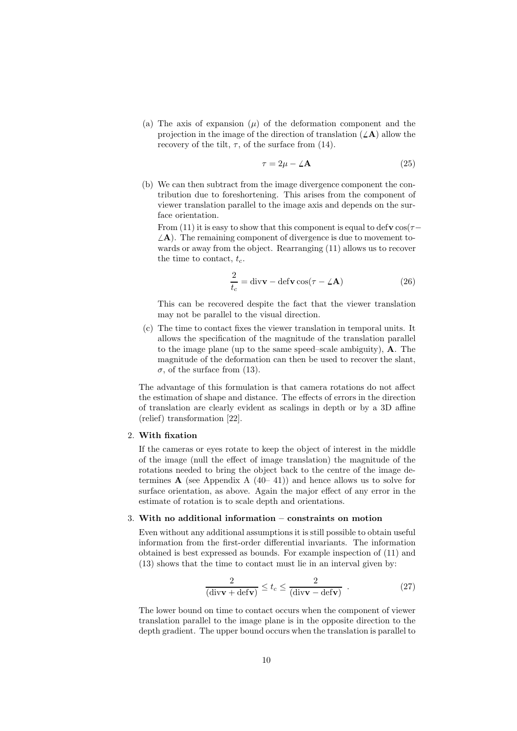(a) The axis of expansion  $(\mu)$  of the deformation component and the projection in the image of the direction of translation  $(\angle A)$  allow the recovery of the tilt,  $\tau$ , of the surface from (14).

$$
\tau = 2\mu - \angle \mathbf{A} \tag{25}
$$

(b) We can then subtract from the image divergence component the contribution due to foreshortening. This arises from the component of viewer translation parallel to the image axis and depends on the surface orientation.

From (11) it is easy to show that this component is equal to defv cos( $\tau$ −  $\angle$ **A**). The remaining component of divergence is due to movement towards or away from the object. Rearranging (11) allows us to recover the time to contact,  $t_c$ .

$$
\frac{2}{t_c} = \text{div}\mathbf{v} - \text{def}\mathbf{v}\cos(\tau - \angle \mathbf{A})\tag{26}
$$

This can be recovered despite the fact that the viewer translation may not be parallel to the visual direction.

(c) The time to contact fixes the viewer translation in temporal units. It allows the specification of the magnitude of the translation parallel to the image plane (up to the same speed–scale ambiguity), A. The magnitude of the deformation can then be used to recover the slant, σ, of the surface from (13).

The advantage of this formulation is that camera rotations do not affect the estimation of shape and distance. The effects of errors in the direction of translation are clearly evident as scalings in depth or by a 3D affine (relief) transformation [22].

#### 2. With fixation

If the cameras or eyes rotate to keep the object of interest in the middle of the image (null the effect of image translation) the magnitude of the rotations needed to bring the object back to the centre of the image determines  $\bf{A}$  (see Appendix A (40–41)) and hence allows us to solve for surface orientation, as above. Again the major effect of any error in the estimate of rotation is to scale depth and orientations.

#### 3. With no additional information – constraints on motion

Even without any additional assumptions it is still possible to obtain useful information from the first-order differential invariants. The information obtained is best expressed as bounds. For example inspection of (11) and (13) shows that the time to contact must lie in an interval given by:

$$
\frac{2}{(\text{div}\mathbf{v} + \text{def}\mathbf{v})} \le t_c \le \frac{2}{(\text{div}\mathbf{v} - \text{def}\mathbf{v})} \tag{27}
$$

The lower bound on time to contact occurs when the component of viewer translation parallel to the image plane is in the opposite direction to the depth gradient. The upper bound occurs when the translation is parallel to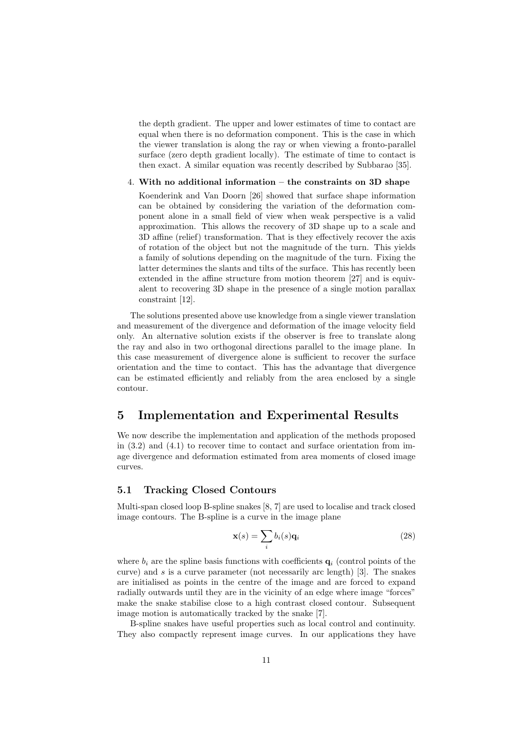the depth gradient. The upper and lower estimates of time to contact are equal when there is no deformation component. This is the case in which the viewer translation is along the ray or when viewing a fronto-parallel surface (zero depth gradient locally). The estimate of time to contact is then exact. A similar equation was recently described by Subbarao [35].

#### 4. With no additional information – the constraints on 3D shape

Koenderink and Van Doorn [26] showed that surface shape information can be obtained by considering the variation of the deformation component alone in a small field of view when weak perspective is a valid approximation. This allows the recovery of 3D shape up to a scale and 3D affine (relief) transformation. That is they effectively recover the axis of rotation of the object but not the magnitude of the turn. This yields a family of solutions depending on the magnitude of the turn. Fixing the latter determines the slants and tilts of the surface. This has recently been extended in the affine structure from motion theorem [27] and is equivalent to recovering 3D shape in the presence of a single motion parallax constraint [12].

The solutions presented above use knowledge from a single viewer translation and measurement of the divergence and deformation of the image velocity field only. An alternative solution exists if the observer is free to translate along the ray and also in two orthogonal directions parallel to the image plane. In this case measurement of divergence alone is sufficient to recover the surface orientation and the time to contact. This has the advantage that divergence can be estimated efficiently and reliably from the area enclosed by a single contour.

## 5 Implementation and Experimental Results

We now describe the implementation and application of the methods proposed in  $(3.2)$  and  $(4.1)$  to recover time to contact and surface orientation from image divergence and deformation estimated from area moments of closed image curves.

### 5.1 Tracking Closed Contours

Multi-span closed loop B-spline snakes [8, 7] are used to localise and track closed image contours. The B-spline is a curve in the image plane

$$
\mathbf{x}(s) = \sum_{i} b_i(s) \mathbf{q}_i \tag{28}
$$

where  $b_i$  are the spline basis functions with coefficients  $q_i$  (control points of the curve) and s is a curve parameter (not necessarily arc length) [3]. The snakes are initialised as points in the centre of the image and are forced to expand radially outwards until they are in the vicinity of an edge where image "forces" make the snake stabilise close to a high contrast closed contour. Subsequent image motion is automatically tracked by the snake [7].

B-spline snakes have useful properties such as local control and continuity. They also compactly represent image curves. In our applications they have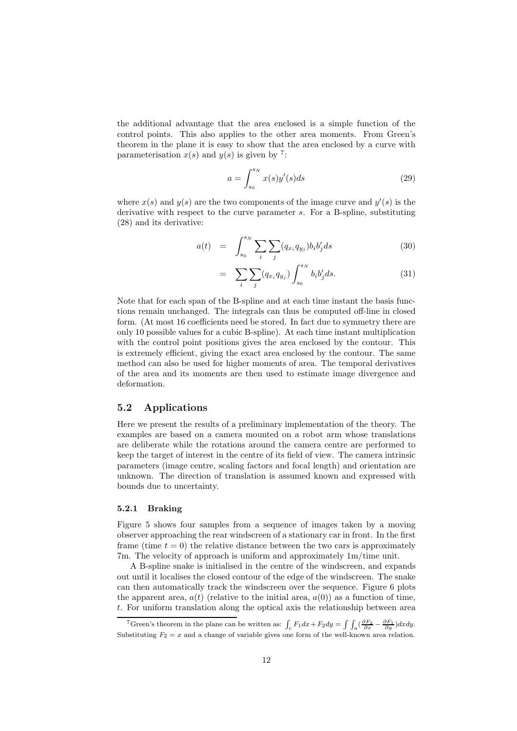the additional advantage that the area enclosed is a simple function of the control points. This also applies to the other area moments. From Green's theorem in the plane it is easy to show that the area enclosed by a curve with parameterisation  $x(s)$  and  $y(s)$  is given by <sup>7</sup>:

$$
a = \int_{s_0}^{s_N} x(s)y'(s)ds
$$
 (29)

where  $x(s)$  and  $y(s)$  are the two components of the image curve and  $y'(s)$  is the derivative with respect to the curve parameter s. For a B-spline, substituting (28) and its derivative:

$$
a(t) = \int_{s_0}^{s_N} \sum_{i} \sum_{j} (q_{x_i} q_{y_j}) b_i b'_j ds \qquad (30)
$$

$$
= \sum_{i} \sum_{j} (q_{x_i} q_{y_j}) \int_{s_0}^{s_N} b_i b'_j ds. \tag{31}
$$

Note that for each span of the B-spline and at each time instant the basis functions remain unchanged. The integrals can thus be computed off-line in closed form. (At most 16 coefficients need be stored. In fact due to symmetry there are only 10 possible values for a cubic B-spline). At each time instant multiplication with the control point positions gives the area enclosed by the contour. This is extremely efficient, giving the exact area enclosed by the contour. The same method can also be used for higher moments of area. The temporal derivatives of the area and its moments are then used to estimate image divergence and deformation.

### 5.2 Applications

Here we present the results of a preliminary implementation of the theory. The examples are based on a camera mounted on a robot arm whose translations are deliberate while the rotations around the camera centre are performed to keep the target of interest in the centre of its field of view. The camera intrinsic parameters (image centre, scaling factors and focal length) and orientation are unknown. The direction of translation is assumed known and expressed with bounds due to uncertainty.

#### 5.2.1 Braking

Figure 5 shows four samples from a sequence of images taken by a moving observer approaching the rear windscreen of a stationary car in front. In the first frame (time  $t = 0$ ) the relative distance between the two cars is approximately 7m. The velocity of approach is uniform and approximately 1m/time unit.

A B-spline snake is initialised in the centre of the windscreen, and expands out until it localises the closed contour of the edge of the windscreen. The snake can then automatically track the windscreen over the sequence. Figure 6 plots the apparent area,  $a(t)$  (relative to the initial area,  $a(0)$ ) as a function of time, t. For uniform translation along the optical axis the relationship between area

<sup>&</sup>lt;sup>7</sup>Green's theorem in the plane can be written as:  $\int_c F_1 dx + F_2 dy = \int \int_a \left(\frac{\partial F_2}{\partial x} - \frac{\partial F_1}{\partial y}\right) dx dy$ . Substituting  $F_2 = x$  and a change of variable gives one form of the well-known area relation.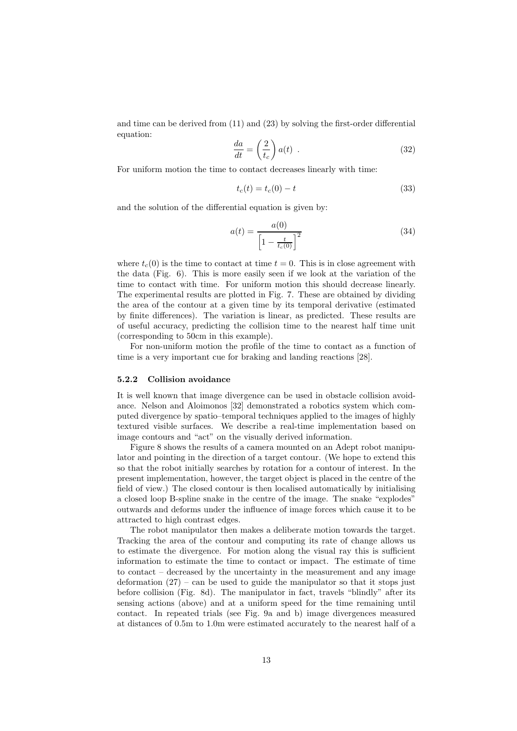and time can be derived from (11) and (23) by solving the first-order differential equation:

$$
\frac{da}{dt} = \left(\frac{2}{t_c}\right) a(t) \tag{32}
$$

For uniform motion the time to contact decreases linearly with time:

$$
t_c(t) = t_c(0) - t
$$
\n(33)

and the solution of the differential equation is given by:

$$
a(t) = \frac{a(0)}{\left[1 - \frac{t}{t_c(0)}\right]^2} \tag{34}
$$

where  $t_c(0)$  is the time to contact at time  $t = 0$ . This is in close agreement with the data (Fig. 6). This is more easily seen if we look at the variation of the time to contact with time. For uniform motion this should decrease linearly. The experimental results are plotted in Fig. 7. These are obtained by dividing the area of the contour at a given time by its temporal derivative (estimated by finite differences). The variation is linear, as predicted. These results are of useful accuracy, predicting the collision time to the nearest half time unit (corresponding to 50cm in this example).

For non-uniform motion the profile of the time to contact as a function of time is a very important cue for braking and landing reactions [28].

#### 5.2.2 Collision avoidance

It is well known that image divergence can be used in obstacle collision avoidance. Nelson and Aloimonos [32] demonstrated a robotics system which computed divergence by spatio–temporal techniques applied to the images of highly textured visible surfaces. We describe a real-time implementation based on image contours and "act" on the visually derived information.

Figure 8 shows the results of a camera mounted on an Adept robot manipulator and pointing in the direction of a target contour. (We hope to extend this so that the robot initially searches by rotation for a contour of interest. In the present implementation, however, the target object is placed in the centre of the field of view.) The closed contour is then localised automatically by initialising a closed loop B-spline snake in the centre of the image. The snake "explodes" outwards and deforms under the influence of image forces which cause it to be attracted to high contrast edges.

The robot manipulator then makes a deliberate motion towards the target. Tracking the area of the contour and computing its rate of change allows us to estimate the divergence. For motion along the visual ray this is sufficient information to estimate the time to contact or impact. The estimate of time to contact – decreased by the uncertainty in the measurement and any image deformation  $(27)$  – can be used to guide the manipulator so that it stops just before collision (Fig. 8d). The manipulator in fact, travels "blindly" after its sensing actions (above) and at a uniform speed for the time remaining until contact. In repeated trials (see Fig. 9a and b) image divergences measured at distances of 0.5m to 1.0m were estimated accurately to the nearest half of a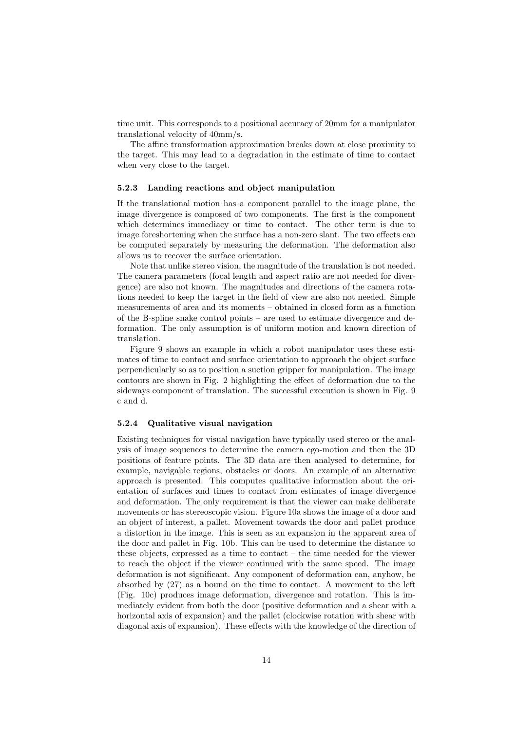time unit. This corresponds to a positional accuracy of 20mm for a manipulator translational velocity of 40mm/s.

The affine transformation approximation breaks down at close proximity to the target. This may lead to a degradation in the estimate of time to contact when very close to the target.

#### 5.2.3 Landing reactions and object manipulation

If the translational motion has a component parallel to the image plane, the image divergence is composed of two components. The first is the component which determines immediacy or time to contact. The other term is due to image foreshortening when the surface has a non-zero slant. The two effects can be computed separately by measuring the deformation. The deformation also allows us to recover the surface orientation.

Note that unlike stereo vision, the magnitude of the translation is not needed. The camera parameters (focal length and aspect ratio are not needed for divergence) are also not known. The magnitudes and directions of the camera rotations needed to keep the target in the field of view are also not needed. Simple measurements of area and its moments – obtained in closed form as a function of the B-spline snake control points – are used to estimate divergence and deformation. The only assumption is of uniform motion and known direction of translation.

Figure 9 shows an example in which a robot manipulator uses these estimates of time to contact and surface orientation to approach the object surface perpendicularly so as to position a suction gripper for manipulation. The image contours are shown in Fig. 2 highlighting the effect of deformation due to the sideways component of translation. The successful execution is shown in Fig. 9 c and d.

#### 5.2.4 Qualitative visual navigation

Existing techniques for visual navigation have typically used stereo or the analysis of image sequences to determine the camera ego-motion and then the 3D positions of feature points. The 3D data are then analysed to determine, for example, navigable regions, obstacles or doors. An example of an alternative approach is presented. This computes qualitative information about the orientation of surfaces and times to contact from estimates of image divergence and deformation. The only requirement is that the viewer can make deliberate movements or has stereoscopic vision. Figure 10a shows the image of a door and an object of interest, a pallet. Movement towards the door and pallet produce a distortion in the image. This is seen as an expansion in the apparent area of the door and pallet in Fig. 10b. This can be used to determine the distance to these objects, expressed as a time to contact – the time needed for the viewer to reach the object if the viewer continued with the same speed. The image deformation is not significant. Any component of deformation can, anyhow, be absorbed by (27) as a bound on the time to contact. A movement to the left (Fig. 10c) produces image deformation, divergence and rotation. This is immediately evident from both the door (positive deformation and a shear with a horizontal axis of expansion) and the pallet (clockwise rotation with shear with diagonal axis of expansion). These effects with the knowledge of the direction of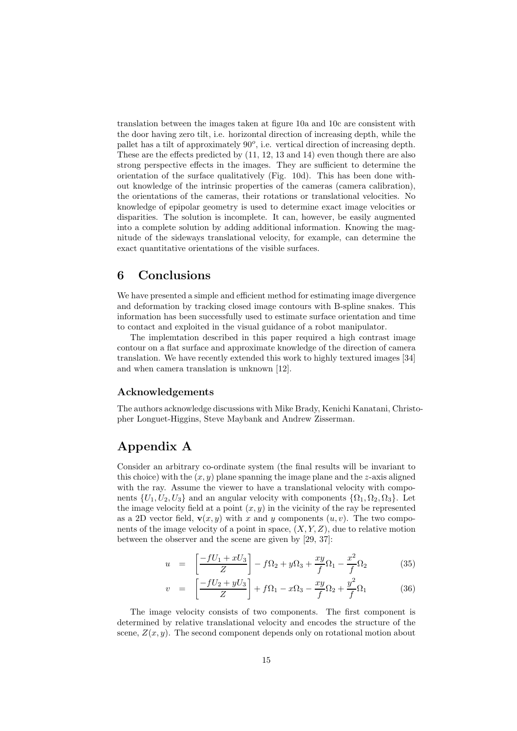translation between the images taken at figure 10a and 10c are consistent with the door having zero tilt, i.e. horizontal direction of increasing depth, while the pallet has a tilt of approximately  $90^{\circ}$ , i.e. vertical direction of increasing depth. These are the effects predicted by (11, 12, 13 and 14) even though there are also strong perspective effects in the images. They are sufficient to determine the orientation of the surface qualitatively (Fig. 10d). This has been done without knowledge of the intrinsic properties of the cameras (camera calibration), the orientations of the cameras, their rotations or translational velocities. No knowledge of epipolar geometry is used to determine exact image velocities or disparities. The solution is incomplete. It can, however, be easily augmented into a complete solution by adding additional information. Knowing the magnitude of the sideways translational velocity, for example, can determine the exact quantitative orientations of the visible surfaces.

### 6 Conclusions

We have presented a simple and efficient method for estimating image divergence and deformation by tracking closed image contours with B-spline snakes. This information has been successfully used to estimate surface orientation and time to contact and exploited in the visual guidance of a robot manipulator.

The implemtation described in this paper required a high contrast image contour on a flat surface and approximate knowledge of the direction of camera translation. We have recently extended this work to highly textured images [34] and when camera translation is unknown [12].

### Acknowledgements

The authors acknowledge discussions with Mike Brady, Kenichi Kanatani, Christopher Longuet-Higgins, Steve Maybank and Andrew Zisserman.

## Appendix A

Consider an arbitrary co-ordinate system (the final results will be invariant to this choice) with the  $(x, y)$  plane spanning the image plane and the z-axis aligned with the ray. Assume the viewer to have a translational velocity with components  $\{U_1, U_2, U_3\}$  and an angular velocity with components  $\{\Omega_1, \Omega_2, \Omega_3\}$ . Let the image velocity field at a point  $(x, y)$  in the vicinity of the ray be represented as a 2D vector field,  $\mathbf{v}(x, y)$  with x and y components  $(u, v)$ . The two components of the image velocity of a point in space,  $(X, Y, Z)$ , due to relative motion between the observer and the scene are given by [29, 37]:

$$
u = \left[\frac{-fU_1 + xU_3}{Z}\right] - f\Omega_2 + y\Omega_3 + \frac{xy}{f}\Omega_1 - \frac{x^2}{f}\Omega_2\tag{35}
$$

$$
v = \left[ \frac{-fU_2 + yU_3}{Z} \right] + f\Omega_1 - x\Omega_3 - \frac{xy}{f}\Omega_2 + \frac{y^2}{f}\Omega_1 \tag{36}
$$

The image velocity consists of two components. The first component is determined by relative translational velocity and encodes the structure of the scene,  $Z(x, y)$ . The second component depends only on rotational motion about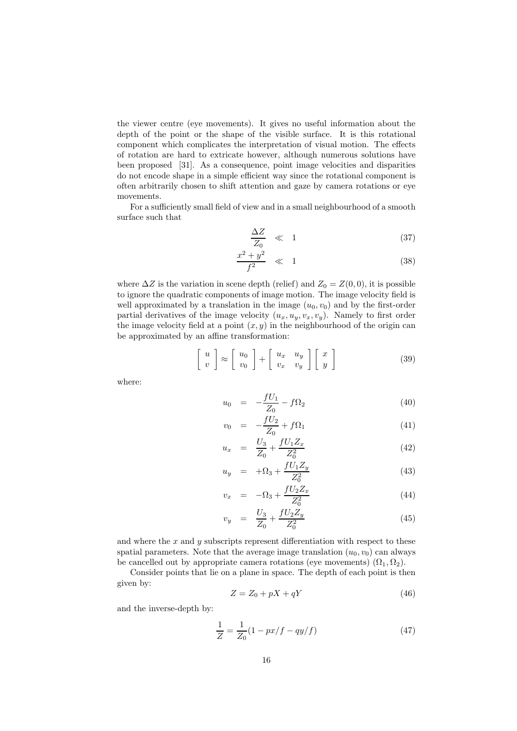the viewer centre (eye movements). It gives no useful information about the depth of the point or the shape of the visible surface. It is this rotational component which complicates the interpretation of visual motion. The effects of rotation are hard to extricate however, although numerous solutions have been proposed [31]. As a consequence, point image velocities and disparities do not encode shape in a simple efficient way since the rotational component is often arbitrarily chosen to shift attention and gaze by camera rotations or eye movements.

For a sufficiently small field of view and in a small neighbourhood of a smooth surface such that

$$
\frac{\Delta Z}{Z_0} \quad \ll \quad 1 \tag{37}
$$

$$
\frac{x^2 + y^2}{f^2} \quad \ll \quad 1 \tag{38}
$$

where  $\Delta Z$  is the variation in scene depth (relief) and  $Z_0 = Z(0,0)$ , it is possible to ignore the quadratic components of image motion. The image velocity field is well approximated by a translation in the image  $(u_0, v_0)$  and by the first-order partial derivatives of the image velocity  $(u_x, u_y, v_x, v_y)$ . Namely to first order the image velocity field at a point  $(x, y)$  in the neighbourhood of the origin can be approximated by an affine transformation:

$$
\left[\begin{array}{c} u \\ v \end{array}\right] \approx \left[\begin{array}{c} u_0 \\ v_0 \end{array}\right] + \left[\begin{array}{cc} u_x & u_y \\ v_x & v_y \end{array}\right] \left[\begin{array}{c} x \\ y \end{array}\right]
$$
 (39)

where:

$$
u_0 = -\frac{fU_1}{Z_0} - f\Omega_2 \tag{40}
$$

$$
v_0 = -\frac{fU_2}{Z_0} + f\Omega_1 \tag{41}
$$

$$
u_x = \frac{U_3}{Z_0} + \frac{fU_1 Z_x}{Z_0^2} \tag{42}
$$

$$
u_y = +\Omega_3 + \frac{fU_1 Z_y}{Z_0^2} \tag{43}
$$

$$
v_x = -\Omega_3 + \frac{fU_2 Z_x}{Z_0^2} \tag{44}
$$

$$
v_y = \frac{U_3}{Z_0} + \frac{fU_2 Z_y}{Z_0^2} \tag{45}
$$

and where the  $x$  and  $y$  subscripts represent differentiation with respect to these spatial parameters. Note that the average image translation  $(u_0, v_0)$  can always be cancelled out by appropriate camera rotations (eye movements)  $(\Omega_1, \Omega_2)$ .

Consider points that lie on a plane in space. The depth of each point is then given by:

$$
Z = Z_0 + pX + qY \tag{46}
$$

and the inverse-depth by:

$$
\frac{1}{Z} = \frac{1}{Z_0}(1 - px/f - qy/f) \tag{47}
$$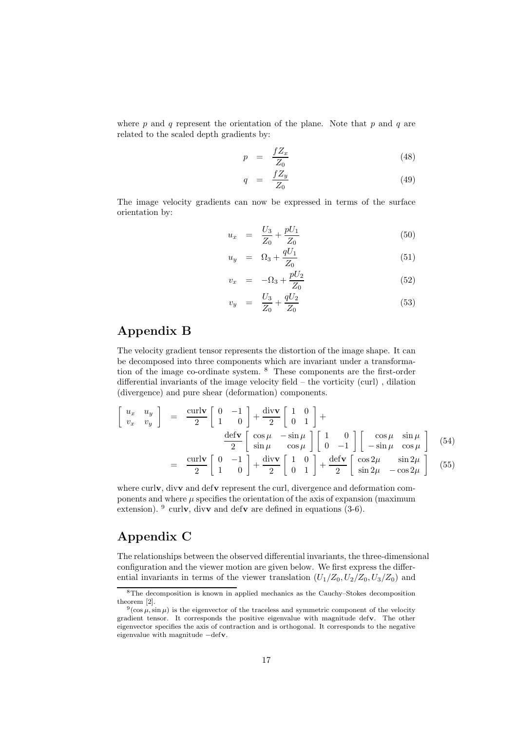where p and q represent the orientation of the plane. Note that p and q are related to the scaled depth gradients by:

$$
p = \frac{fZ_x}{Z_0} \tag{48}
$$

$$
q = \frac{fZ_y}{Z_0} \tag{49}
$$

The image velocity gradients can now be expressed in terms of the surface orientation by:

$$
u_x = \frac{U_3}{Z_0} + \frac{pU_1}{Z_0} \tag{50}
$$

$$
u_y = \Omega_3 + \frac{qU_1}{Z_0} \tag{51}
$$

$$
v_x = -\Omega_3 + \frac{pU_2}{Z_0} \tag{52}
$$

$$
v_y = \frac{U_3}{Z_0} + \frac{qU_2}{Z_0} \tag{53}
$$

## Appendix B

The velocity gradient tensor represents the distortion of the image shape. It can be decomposed into three components which are invariant under a transformation of the image co-ordinate system. <sup>8</sup> These components are the first-order differential invariants of the image velocity field – the vorticity (curl) , dilation (divergence) and pure shear (deformation) components.

$$
\begin{bmatrix}\nu_x & u_y \\
v_x & v_y\n\end{bmatrix} = \frac{\text{curl}\mathbf{v}}{2} \begin{bmatrix} 0 & -1 \\
1 & 0 \end{bmatrix} + \frac{\text{div}\mathbf{v}}{2} \begin{bmatrix} 1 & 0 \\
0 & 1 \end{bmatrix} + \frac{\text{det}\mathbf{v}}{2} \begin{bmatrix} \cos\mu & -\sin\mu \\
\sin\mu & \cos\mu \end{bmatrix} \begin{bmatrix} 1 & 0 \\
0 & -1 \end{bmatrix} \begin{bmatrix} \cos\mu & \sin\mu \\
-\sin\mu & \cos\mu \end{bmatrix}
$$
\n
$$
= \frac{\text{curl}\mathbf{v}}{2} \begin{bmatrix} 0 & -1 \\
1 & 0 \end{bmatrix} + \frac{\text{div}\mathbf{v}}{2} \begin{bmatrix} 1 & 0 \\
0 & 1 \end{bmatrix} + \frac{\text{det}\mathbf{v}}{2} \begin{bmatrix} \cos 2\mu & \sin 2\mu \\
\sin 2\mu & -\cos 2\mu \end{bmatrix}
$$
\n(55)

where curlv, divv and defv represent the curl, divergence and deformation components and where  $\mu$  specifies the orientation of the axis of expansion (maximum extension). <sup>9</sup> curly, divy and defy are defined in equations  $(3-6)$ .

## Appendix C

The relationships between the observed differential invariants, the three-dimensional configuration and the viewer motion are given below. We first express the differential invariants in terms of the viewer translation  $(U_1/Z_0, U_2/Z_0, U_3/Z_0)$  and

 $8$ The decomposition is known in applied mechanics as the Cauchy–Stokes decomposition theorem [2].

 $t^9$ (cos  $\mu$ , sin  $\mu$ ) is the eigenvector of the traceless and symmetric component of the velocity gradient tensor. It corresponds the positive eigenvalue with magnitude defv. The other eigenvector specifies the axis of contraction and is orthogonal. It corresponds to the negative eigenvalue with magnitude −defv.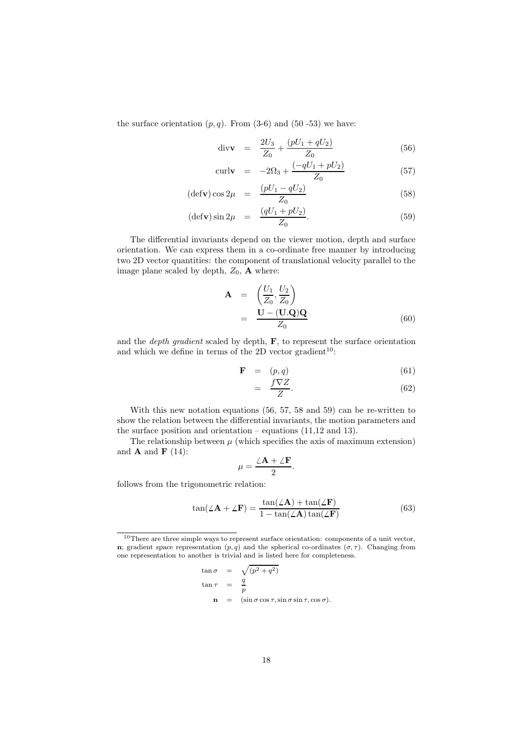the surface orientation  $(p, q)$ . From  $(3\n-6)$  and  $(50\n-53)$  we have:

$$
\text{div}\mathbf{v} = \frac{2U_3}{Z_0} + \frac{(pU_1 + qU_2)}{Z_0} \tag{56}
$$

$$
\text{curl} \mathbf{v} = -2\Omega_3 + \frac{(-qU_1 + pU_2)}{Z_0} \tag{57}
$$

$$
(\text{def }\mathbf{v})\cos 2\mu = \frac{(pU_1 - qU_2)}{Z_0} \tag{58}
$$

$$
(\text{def }\mathbf{v})\sin 2\mu = \frac{(qU_1 + pU_2)}{Z_0}.
$$
\n(59)

The differential invariants depend on the viewer motion, depth and surface orientation. We can express them in a co-ordinate free manner by introducing two 2D vector quantities: the component of translational velocity parallel to the image plane scaled by depth,  $Z_0$ , **A** where:

$$
\mathbf{A} = \left(\frac{U_1}{Z_0}, \frac{U_2}{Z_0}\right)
$$
  
= 
$$
\frac{\mathbf{U} - (\mathbf{U}.\mathbf{Q})\mathbf{Q}}{Z_0}
$$
(60)

and the *depth gradient* scaled by depth,  $\bf{F}$ , to represent the surface orientation and which we define in terms of the 2D vector gradient  $^{10}\!$  :

$$
\mathbf{F} = (p, q) \tag{61}
$$

$$
= \frac{f\nabla Z}{Z}.
$$
 (62)

With this new notation equations (56, 57, 58 and 59) can be re-written to show the relation between the differential invariants, the motion parameters and the surface position and orientation – equations (11,12 and 13).

The relationship between  $\mu$  (which specifies the axis of maximum extension) and  $\bf{A}$  and  $\bf{F}$  (14):

$$
\mu = \frac{\angle \mathbf{A} + \angle \mathbf{F}}{2}.
$$

follows from the trigonometric relation:

$$
\tan(\angle \mathbf{A} + \angle \mathbf{F}) = \frac{\tan(\angle \mathbf{A}) + \tan(\angle \mathbf{F})}{1 - \tan(\angle \mathbf{A})\tan(\angle \mathbf{F})}
$$
(63)

$$
\tan \sigma = \sqrt{(p^2 + q^2)}
$$
  
\n
$$
\tan \tau = \frac{q}{p}
$$
  
\n
$$
\mathbf{n} = (\sin \sigma \cos \tau, \sin \sigma \sin \tau, \cos \sigma).
$$

<sup>&</sup>lt;sup>10</sup>There are three simple ways to represent surface orientation: components of a unit vector, n; gradient space representation  $(p, q)$  and the spherical co-ordinates  $(\sigma, \tau)$ . Changing from one representation to another is trivial and is listed here for completeness.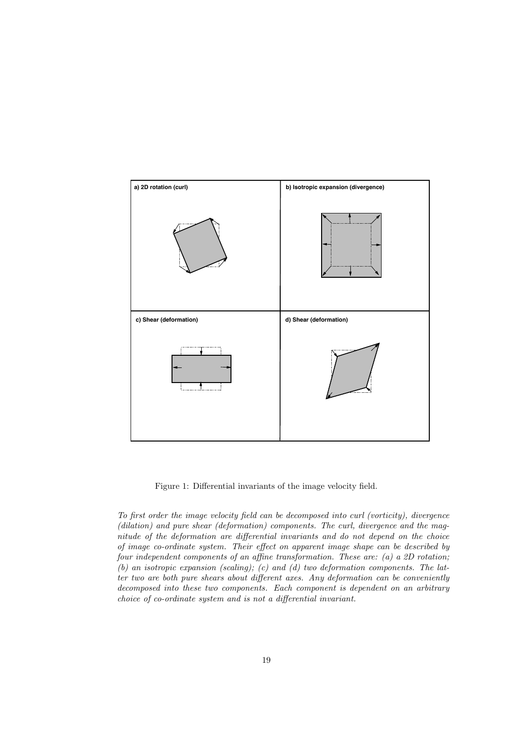

Figure 1: Differential invariants of the image velocity field.

To first order the image velocity field can be decomposed into curl (vorticity), divergence (dilation) and pure shear (deformation) components. The curl, divergence and the magnitude of the deformation are differential invariants and do not depend on the choice of image co-ordinate system. Their effect on apparent image shape can be described by four independent components of an affine transformation. These are: (a) a 2D rotation; (b) an isotropic expansion (scaling); (c) and (d) two deformation components. The latter two are both pure shears about different axes. Any deformation can be conveniently decomposed into these two components. Each component is dependent on an arbitrary choice of co-ordinate system and is not a differential invariant.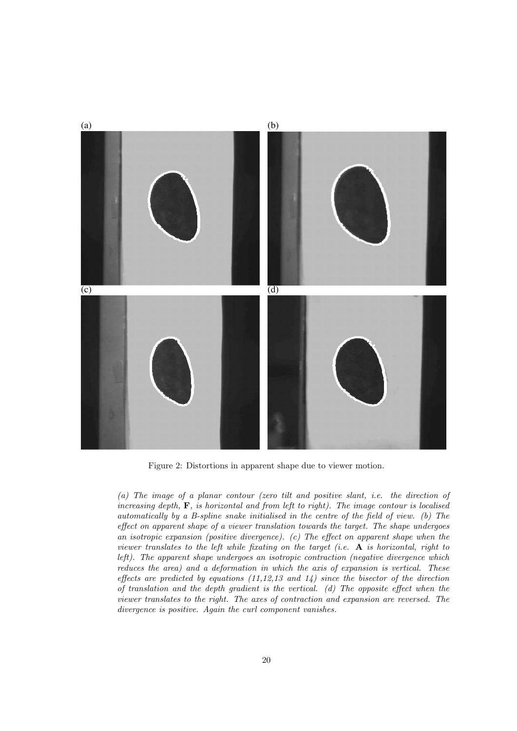

Figure 2: Distortions in apparent shape due to viewer motion.

(a) The image of a planar contour (zero tilt and positive slant, i.e. the direction of increasing depth, F, is horizontal and from left to right). The image contour is localised automatically by a B-spline snake initialised in the centre of the field of view. (b) The effect on apparent shape of a viewer translation towards the target. The shape undergoes an isotropic expansion (positive divergence). (c) The effect on apparent shape when the viewer translates to the left while fixating on the target (i.e.  $\bf{A}$  is horizontal, right to left). The apparent shape undergoes an isotropic contraction (negative divergence which reduces the area) and a deformation in which the axis of expansion is vertical. These effects are predicted by equations  $(11,12,13 \text{ and } 14)$  since the bisector of the direction of translation and the depth gradient is the vertical.  $(d)$  The opposite effect when the viewer translates to the right. The axes of contraction and expansion are reversed. The divergence is positive. Again the curl component vanishes.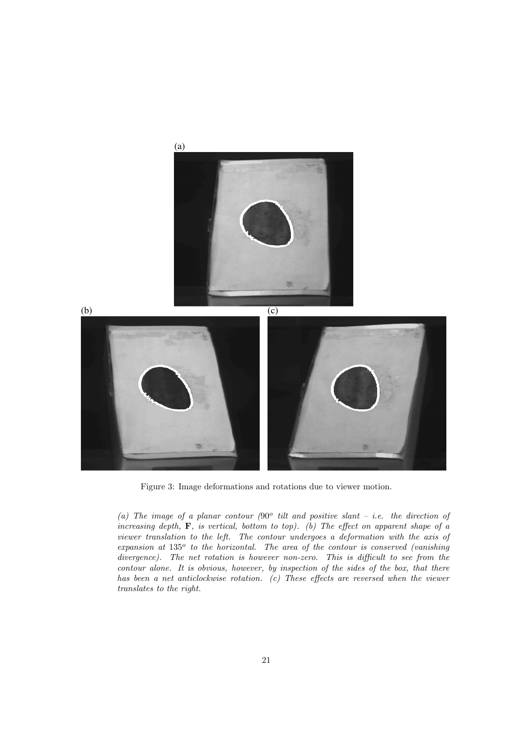

Figure 3: Image deformations and rotations due to viewer motion.

(a) The image of a planar contour  $(90^{\circ}$  tilt and positive slant – i.e. the direction of increasing depth,  $\bf{F}$ , is vertical, bottom to top). (b) The effect on apparent shape of a viewer translation to the left. The contour undergoes a deformation with the axis of  $expansion$  at  $135<sup>o</sup>$  to the horizontal. The area of the contour is conserved (vanishing divergence). The net rotation is however non-zero. This is difficult to see from the contour alone. It is obvious, however, by inspection of the sides of the box, that there has been a net anticlockwise rotation. (c) These effects are reversed when the viewer translates to the right.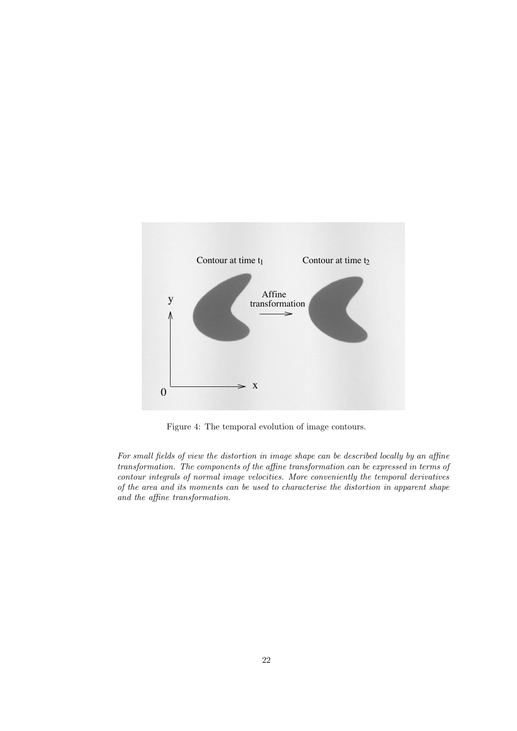

Figure 4: The temporal evolution of image contours.

For small fields of view the distortion in image shape can be described locally by an affine transformation. The components of the affine transformation can be expressed in terms of contour integrals of normal image velocities. More conveniently the temporal derivatives of the area and its moments can be used to characterise the distortion in apparent shape and the affine transformation.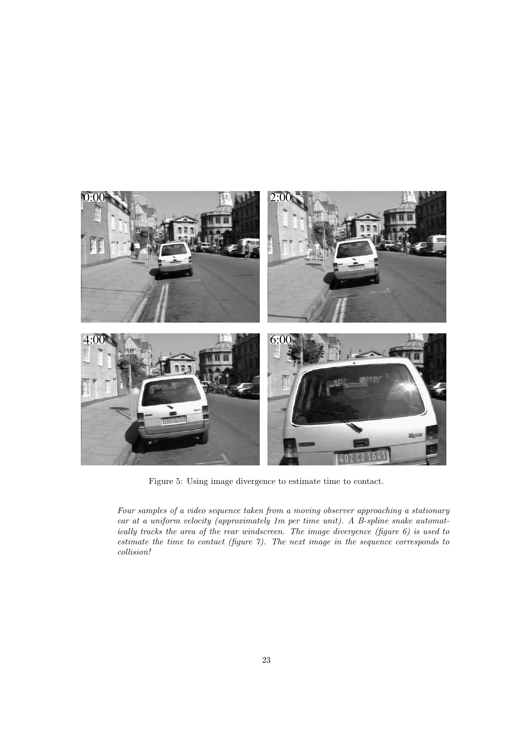

Figure 5: Using image divergence to estimate time to contact.

Four samples of a video sequence taken from a moving observer approaching a stationary car at a uniform velocity (approximately 1m per time unit). A B-spline snake automatically tracks the area of the rear windscreen. The image divergence (figure 6) is used to estimate the time to contact (figure 7). The next image in the sequence corresponds to collision!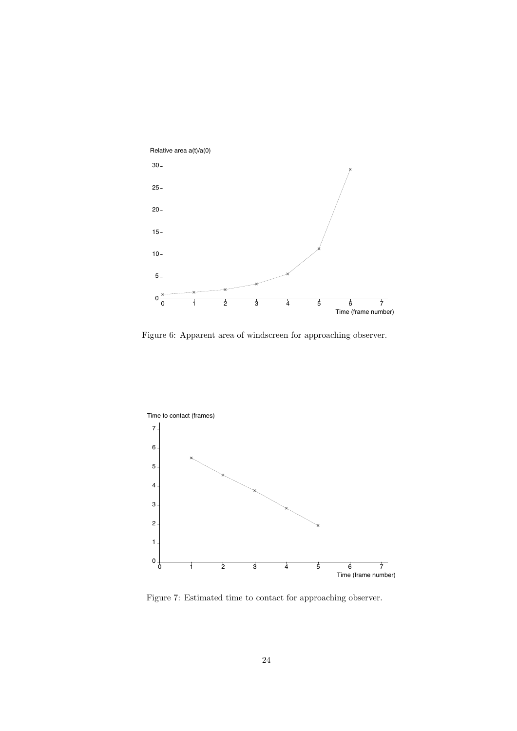

Figure 6: Apparent area of windscreen for approaching observer.



Figure 7: Estimated time to contact for approaching observer.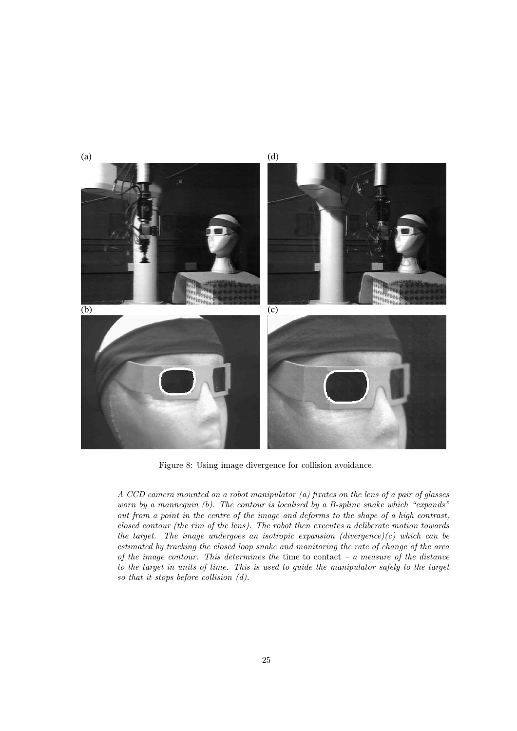

Figure 8: Using image divergence for collision avoidance.

A CCD camera mounted on a robot manipulator (a) fixates on the lens of a pair of glasses worn by a mannequin (b). The contour is localised by a B-spline snake which "expands" out from a point in the centre of the image and deforms to the shape of a high contrast, closed contour (the rim of the lens). The robot then executes a deliberate motion towards the target. The image undergoes an isotropic expansion (divergence)(c) which can be estimated by tracking the closed loop snake and monitoring the rate of change of the area of the image contour. This determines the time to contact  $- a$  measure of the distance to the target in units of time. This is used to guide the manipulator safely to the target so that it stops before collision (d).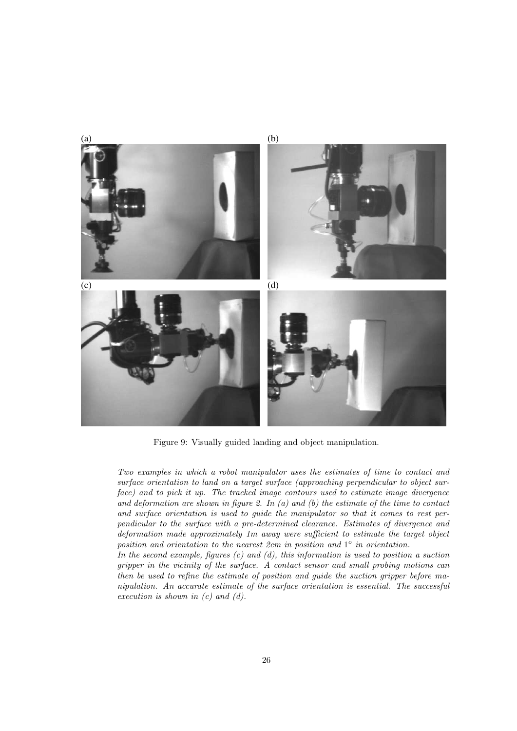

Figure 9: Visually guided landing and object manipulation.

Two examples in which a robot manipulator uses the estimates of time to contact and surface orientation to land on a target surface (approaching perpendicular to object surface) and to pick it up. The tracked image contours used to estimate image divergence and deformation are shown in figure 2. In  $(a)$  and  $(b)$  the estimate of the time to contact and surface orientation is used to guide the manipulator so that it comes to rest perpendicular to the surface with a pre-determined clearance. Estimates of divergence and deformation made approximately 1m away were sufficient to estimate the target object position and orientation to the nearest  $2cm$  in position and  $1^{\circ}$  in orientation.

In the second example, figures  $(c)$  and  $(d)$ , this information is used to position a suction gripper in the vicinity of the surface. A contact sensor and small probing motions can then be used to refine the estimate of position and guide the suction gripper before manipulation. An accurate estimate of the surface orientation is essential. The successful execution is shown in  $(c)$  and  $(d)$ .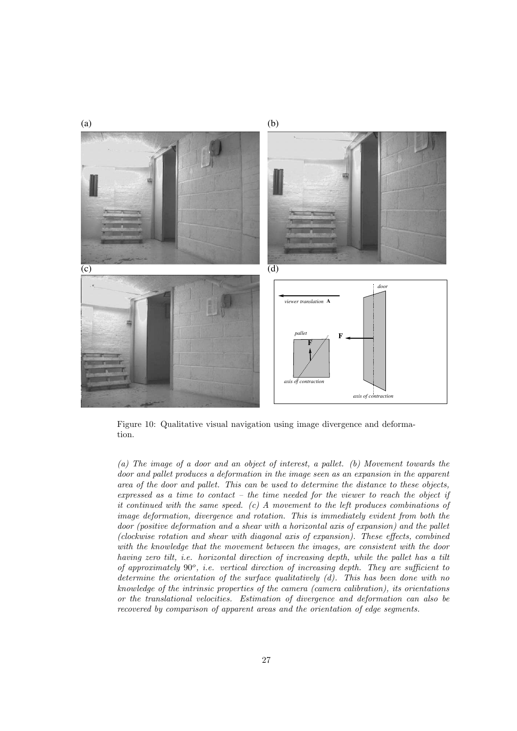

Figure 10: Qualitative visual navigation using image divergence and deformation.

(a) The image of a door and an object of interest, a pallet. (b) Movement towards the door and pallet produces a deformation in the image seen as an expansion in the apparent area of the door and pallet. This can be used to determine the distance to these objects, expressed as a time to contact – the time needed for the viewer to reach the object if it continued with the same speed.  $(c)$  A movement to the left produces combinations of image deformation, divergence and rotation. This is immediately evident from both the door (positive deformation and a shear with a horizontal axis of expansion) and the pallet (clockwise rotation and shear with diagonal axis of expansion). These effects, combined with the knowledge that the movement between the images, are consistent with the door having zero tilt, i.e. horizontal direction of increasing depth, while the pallet has a tilt of approximately  $90^\circ$ , i.e. vertical direction of increasing depth. They are sufficient to determine the orientation of the surface qualitatively  $(d)$ . This has been done with no knowledge of the intrinsic properties of the camera (camera calibration), its orientations or the translational velocities. Estimation of divergence and deformation can also be recovered by comparison of apparent areas and the orientation of edge segments.

27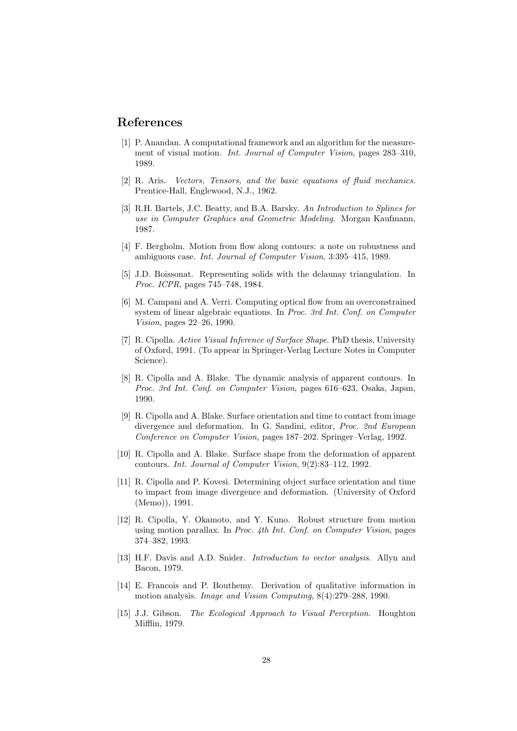### References

- [1] P. Anandan. A computational framework and an algorithm for the measurement of visual motion. *Int. Journal of Computer Vision*, pages  $283-310$ , 1989.
- [2] R. Aris. Vectors, Tensors, and the basic equations of fluid mechanics. Prentice-Hall, Englewood, N.J., 1962.
- [3] R.H. Bartels, J.C. Beatty, and B.A. Barsky. An Introduction to Splines for use in Computer Graphics and Geometric Modeling. Morgan Kaufmann, 1987.
- [4] F. Bergholm. Motion from flow along contours: a note on robustness and ambiguous case. Int. Journal of Computer Vision, 3:395–415, 1989.
- [5] J.D. Boissonat. Representing solids with the delaunay triangulation. In Proc. ICPR, pages 745–748, 1984.
- [6] M. Campani and A. Verri. Computing optical flow from an overconstrained system of linear algebraic equations. In Proc. 3rd Int. Conf. on Computer Vision, pages 22–26, 1990.
- [7] R. Cipolla. Active Visual Inference of Surface Shape. PhD thesis, University of Oxford, 1991. (To appear in Springer-Verlag Lecture Notes in Computer Science).
- [8] R. Cipolla and A. Blake. The dynamic analysis of apparent contours. In Proc. 3rd Int. Conf. on Computer Vision, pages 616–623, Osaka, Japan, 1990.
- [9] R. Cipolla and A. Blake. Surface orientation and time to contact from image divergence and deformation. In G. Sandini, editor, Proc. 2nd European Conference on Computer Vision, pages 187–202. Springer–Verlag, 1992.
- [10] R. Cipolla and A. Blake. Surface shape from the deformation of apparent contours. Int. Journal of Computer Vision, 9(2):83–112, 1992.
- [11] R. Cipolla and P. Kovesi. Determining object surface orientation and time to impact from image divergence and deformation. (University of Oxford (Memo)), 1991.
- [12] R. Cipolla, Y. Okamoto, and Y. Kuno. Robust structure from motion using motion parallax. In Proc. 4th Int. Conf. on Computer Vision, pages 374–382, 1993.
- [13] H.F. Davis and A.D. Snider. Introduction to vector analysis. Allyn and Bacon, 1979.
- [14] E. Francois and P. Bouthemy. Derivation of qualitative information in motion analysis. Image and Vision Computing, 8(4):279–288, 1990.
- [15] J.J. Gibson. The Ecological Approach to Visual Perception. Houghton Mifflin, 1979.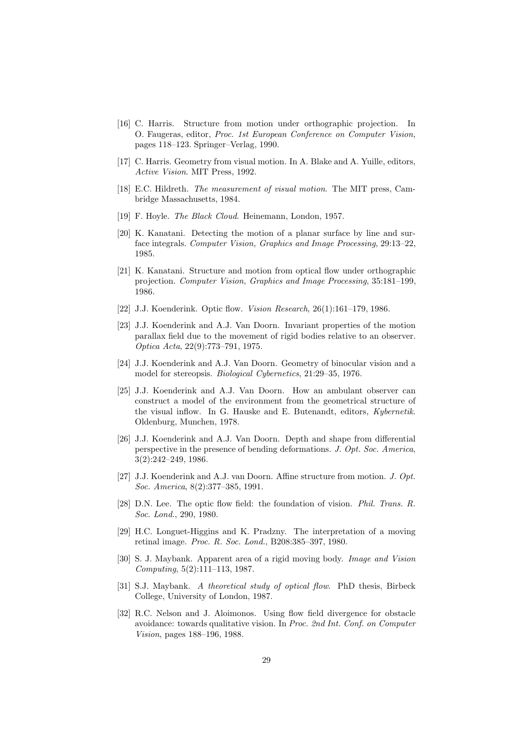- [16] C. Harris. Structure from motion under orthographic projection. In O. Faugeras, editor, Proc. 1st European Conference on Computer Vision, pages 118–123. Springer–Verlag, 1990.
- [17] C. Harris. Geometry from visual motion. In A. Blake and A. Yuille, editors, Active Vision. MIT Press, 1992.
- [18] E.C. Hildreth. The measurement of visual motion. The MIT press, Cambridge Massachusetts, 1984.
- [19] F. Hoyle. The Black Cloud. Heinemann, London, 1957.
- [20] K. Kanatani. Detecting the motion of a planar surface by line and surface integrals. Computer Vision, Graphics and Image Processing, 29:13–22, 1985.
- [21] K. Kanatani. Structure and motion from optical flow under orthographic projection. Computer Vision, Graphics and Image Processing, 35:181–199, 1986.
- [22] J.J. Koenderink. Optic flow. Vision Research, 26(1):161-179, 1986.
- [23] J.J. Koenderink and A.J. Van Doorn. Invariant properties of the motion parallax field due to the movement of rigid bodies relative to an observer. Optica Acta, 22(9):773–791, 1975.
- [24] J.J. Koenderink and A.J. Van Doorn. Geometry of binocular vision and a model for stereopsis. Biological Cybernetics, 21:29–35, 1976.
- [25] J.J. Koenderink and A.J. Van Doorn. How an ambulant observer can construct a model of the environment from the geometrical structure of the visual inflow. In G. Hauske and E. Butenandt, editors, Kybernetik. Oldenburg, Munchen, 1978.
- [26] J.J. Koenderink and A.J. Van Doorn. Depth and shape from differential perspective in the presence of bending deformations. J. Opt. Soc. America, 3(2):242–249, 1986.
- [27] J.J. Koenderink and A.J. van Doorn. Affine structure from motion. J. Opt. Soc. America, 8(2):377–385, 1991.
- [28] D.N. Lee. The optic flow field: the foundation of vision. Phil. Trans. R. Soc. Lond., 290, 1980.
- [29] H.C. Longuet-Higgins and K. Pradzny. The interpretation of a moving retinal image. Proc. R. Soc. Lond., B208:385–397, 1980.
- [30] S. J. Maybank. Apparent area of a rigid moving body. Image and Vision Computing, 5(2):111–113, 1987.
- [31] S.J. Maybank. A theoretical study of optical flow. PhD thesis, Birbeck College, University of London, 1987.
- [32] R.C. Nelson and J. Aloimonos. Using flow field divergence for obstacle avoidance: towards qualitative vision. In Proc. 2nd Int. Conf. on Computer Vision, pages 188–196, 1988.